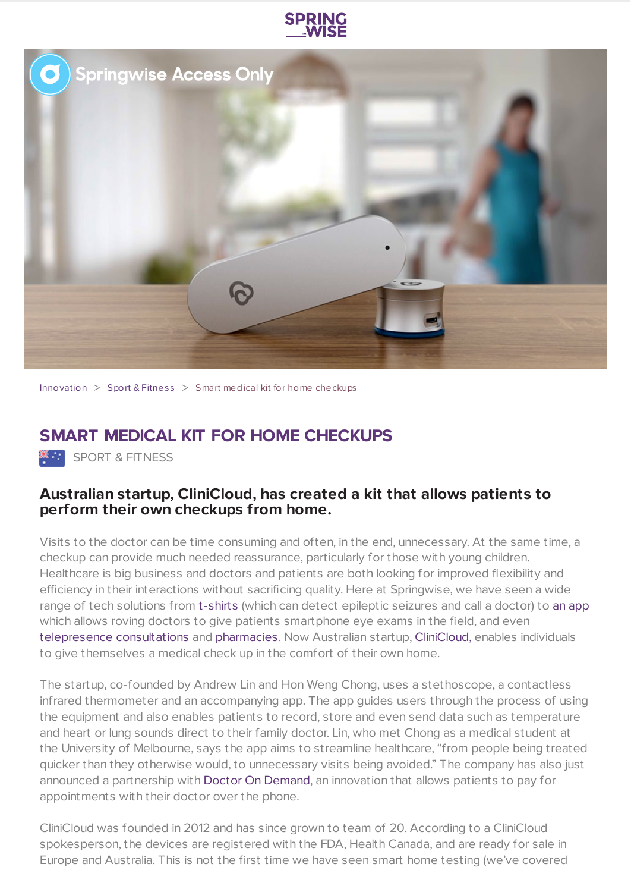



[Innovation](https://www.springwise.com/search?type=innovation)  $>$  Sport & [Fitnes](https://www.springwise.com/search?type=innovation§or=sport-fitness)s  $>$  Smart medical kit for home checkups

## **SMART MEDICAL KIT FOR HOME CHECKUPS**

**<sup>36</sup>:** SPORT & FITNESS

## **Australian startup, CliniCloud, has created a kit that allows patients to perform their own checkups from home.**

Visits to the doctor can be time consuming and often, in the end, unnecessary. At the same time, a checkup can provide much needed reassurance, particularly for those with young children. Healthcare is big business and doctors and patients are both looking for improved flexibility and efficiency in their interactions without sacrificing quality. Here at Springwise, we have seen a wide range of tech solutions from [t-shirts](https://www.springwise.com/shirt-detects-epileptic-seizures-immediately-calls-doctor/) (which can detect epileptic seizures and call a doctor) to an [app](https://www.springwise.com/app-replaces-doctors-equipment-enables-eye-tests/) which allows roving doctors to give patients smartphone eye exams in the field, and even telepresence [consultations](https://www.springwise.com/telepresence-robot-enables-remote-patient-doctor/) and [pharmacies.](https://www.springwise.com/telepresence-pharmacies-dispense-prescription-drugs-remote-locations/) Now Australian startup, [CliniCloud,](https://clinicloud.com/en) enables individuals to give themselves a medical check up in the comfort of their own home.

The startup, co-founded by Andrew Lin and Hon Weng Chong, uses a stethoscope, a contactless infrared thermometer and an accompanying app. The app guides users through the process of using the equipment and also enables patients to record, store and even send data such as temperature and heart or lung sounds direct to their family doctor. Lin, who met Chong as a medical student at the University of Melbourne, says the app aims to streamline healthcare, "from people being treated quicker than they otherwise would, to unnecessary visits being avoided." The company has also just announced a partnership with Doctor On [Demand,](http://www.doctorondemand.com/) an innovation that allows patients to pay for appointments with their doctor over the phone.

CliniCloud was founded in 2012 and has since grown to team of 20. According to a CliniCloud spokesperson, the devices are registered with the FDA, Health Canada, and are ready for sale in Europe and Australia. This is not the first time we have seen smart home testing (we've covered